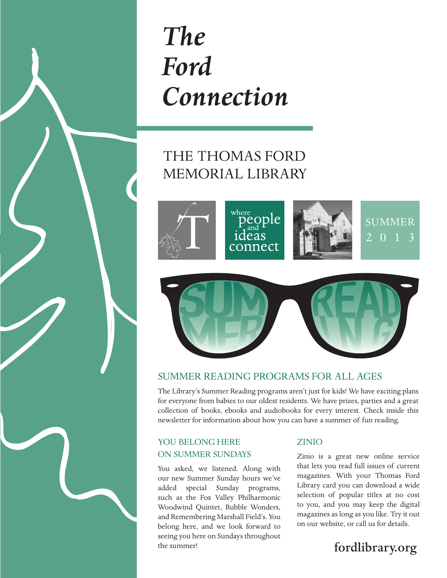

## *The Ford Connection*

### THE THOMAS FORD MEMORIAL LIBRARY





#### Summer Reading Programs for All Ages

The Library's Summer Reading programs aren't just for kids! We have exciting plans for everyone from babies to our oldest residents. We have prizes, parties and a great collection of books, ebooks and audiobooks for every interest. Check inside this newsletter for information about how you can have a summer of fun reading.

#### YOU BELONG HERE on Summer Sundays

You asked, we listened. Along with our new Summer Sunday hours we've added special Sunday programs, such as the Fox Valley Philharmonic Woodwind Quintet, Bubble Wonders, and Remembering Marshall Field's. You belong here, and we look forward to seeing you here on Sundays throughout the summer!

#### **ZINIO**

Zinio is a great new online service that lets you read full issues of current magazines. With your Thomas Ford Library card you can download a wide selection of popular titles at no cost to you, and you may keep the digital magazines as long as you like. Try it out on our website, or call us for details.

### fordlibrary.org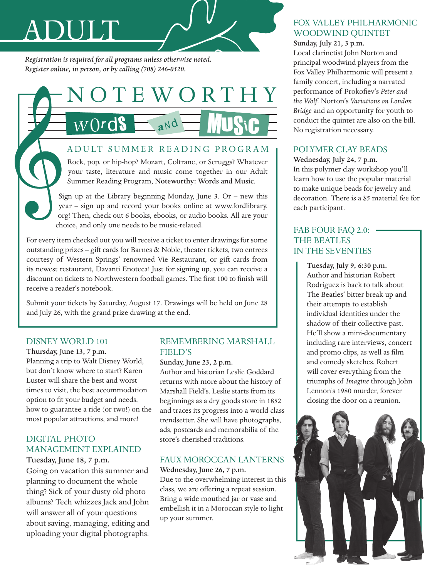# Adult

*Registration is required for all programs unless otherwise noted. Register online, in person, or by calling (708) 246-0520.*



#### A DULT SUMMER READING PROGRAM

Rock, pop, or hip-hop? Mozart, Coltrane, or Scruggs? Whatever your taste, literature and music come together in our Adult Summer Reading Program, Noteworthy: Words and Music.

Sign up at the Library beginning Monday, June 3. Or – new this year – sign up and record your books online at www.fordlibrary. org! Then, check out 6 books, ebooks, or audio books. All are your choice, and only one needs to be music-related.

For every item checked out you will receive a ticket to enter drawings for some outstanding prizes – gift cards for Barnes & Noble, theater tickets, two entrees courtesy of Western Springs' renowned Vie Restaurant, or gift cards from its newest restaurant, Davanti Enoteca! Just for signing up, you can receive a discount on tickets to Northwestern football games. The first 100 to finish will receive a reader's notebook.

Submit your tickets by Saturday, August 17. Drawings will be held on June 28 and July 26, with the grand prize drawing at the end.

#### DISNEY WORLD 101

Thursday, June 13, 7 p.m. Planning a trip to Walt Disney World, but don't know where to start? Karen Luster will share the best and worst times to visit, the best accommodation option to fit your budget and needs, how to guarantee a ride (or two!) on the most popular attractions, and more!

#### Digital Photo Management Explained

Tuesday, June 18, 7 p.m. Going on vacation this summer and planning to document the whole thing? Sick of your dusty old photo albums? Tech whizzes Jack and John will answer all of your questions about saving, managing, editing and uploading your digital photographs.

#### Remembering Marshall Field's

Sunday, June 23, 2 p.m.

Author and historian Leslie Goddard returns with more about the history of Marshall Field's. Leslie starts from its beginnings as a dry goods store in 1852 and traces its progress into a world-class trendsetter. She will have photographs, ads, postcards and memorabilia of the store's cherished traditions.

#### Faux Moroccan Lanterns

Wednesday, June 26, 7 p.m. Due to the overwhelming interest in this class, we are offering a repeat session. Bring a wide mouthed jar or vase and embellish it in a Moroccan style to light

up your summer.

#### Fox Valley Philharmonic WOODWIND QUINTET

Sunday, July 21, 3 p.m.

Local clarinetist John Norton and principal woodwind players from the Fox Valley Philharmonic will present a family concert, including a narrated performance of Prokofiev's *Peter and the Wolf*. Norton's *Variations on London Bridge* and an opportunity for youth to conduct the quintet are also on the bill. No registration necessary.

#### Polymer Clay Beads

Wednesday, July 24, 7 p.m. In this polymer clay workshop you'll learn how to use the popular material to make unique beads for jewelry and decoration. There is a \$5 material fee for each participant.

#### FAB FOUR FAQ 2.0: . The Beatles in the Seventies

Tuesday, July 9, 6:30 p.m. Author and historian Robert Rodriguez is back to talk about The Beatles' bitter break-up and their attempts to establish individual identities under the shadow of their collective past. He'll show a mini-documentary including rare interviews, concert and promo clips, as well as film and comedy sketches. Robert will cover everything from the triumphs of *Imagine* through John Lennon's 1980 murder, forever closing the door on a reunion.

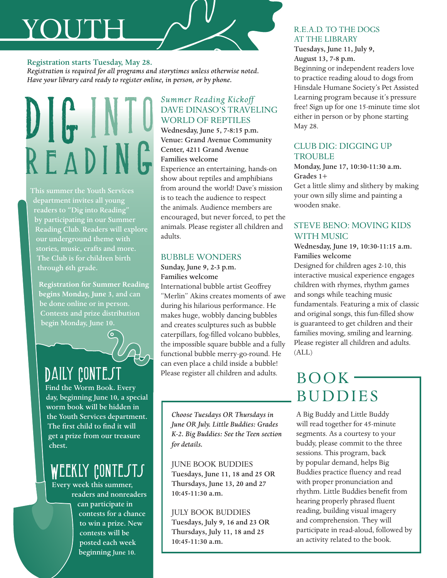# YOUT

#### Registration starts Tuesday, May 28.

*Registration is required for all programs and storytimes unless otherwise noted. Have your library card ready to register online, in person, or by phone.*

# DIG INTO R F A DI

This summer the Youth Services department invites all young readers to "Dig into Reading" by participating in our Summer Reading Club. Readers will explore our underground theme with stories, music, crafts and more. The Club is for children birth through 6th grade.

**Registration for Summer Reading begins Monday, June 3**, and can be done online or in person. Contests and prize distribution begin Monday, June 10.

### DAILY CONTEST

Find the Worm Book. Every day, beginning June 10, a special worm book will be hidden in the Youth Services department. The first child to find it will get a prize from our treasure chest.

### WEEKLY CONTESTS

Every week this summer, readers and nonreaders can participate in contests for a chance to win a prize. New contests will be posted each week beginning June 10.

#### *Summer Reading Kickoff* Dave Dinaso's Traveling World of Reptiles

Wednesday, June 5, 7-8:15 p.m. Venue: Grand Avenue Community Center, 4211 Grand Avenue Families welcome

Experience an entertaining, hands-on show about reptiles and amphibians from around the world! Dave's mission is to teach the audience to respect the animals. Audience members are encouraged, but never forced, to pet the animals. Please register all children and adults.

#### Bubble Wonders

#### Sunday, June 9, 2-3 p.m.

Families welcome

International bubble artist Geoffrey "Merlin" Akins creates moments of awe during his hilarious performance. He makes huge, wobbly dancing bubbles and creates sculptures such as bubble caterpillars, fog-filled volcano bubbles, the impossible square bubble and a fully functional bubble merry-go-round. He can even place a child inside a bubble! Please register all children and adults.

*Choose Tuesdays OR Thursdays in June OR July. Little Buddies: Grades K-2. Big Buddies: See the Teen section for details.*

#### June Book Buddies

Tuesdays, June 11, 18 and 25 OR Thursdays, June 13, 20 and 27 10:45-11:30 a.m.

#### July Book Buddies

Tuesdays, July 9, 16 and 23 OR Thursdays, July 11, 18 and 25 10:45-11:30 a.m.

#### R.E.A.D. to the Dogs **AT THE LIBRARY**

Tuesdays, June 11, July 9, August 13, 7-8 p.m. Beginning or independent readers love to practice reading aloud to dogs from Hinsdale Humane Society's Pet Assisted Learning program because it's pressure free! Sign up for one 15-minute time slot either in person or by phone starting May 28.

#### Club Dig: Digging up **TROUBLE**

Monday, June 17, 10:30-11:30 a.m. Grades 1+

Get a little slimy and slithery by making your own silly slime and painting a wooden snake.

#### Steve Beno: Moving Kids with Music

#### Wednesday, June 19, 10:30-11:15 a.m. Families welcome

Designed for children ages 2-10, this interactive musical experience engages children with rhymes, rhythm games and songs while teaching music fundamentals. Featuring a mix of classic and original songs, this fun-filled show is guaranteed to get children and their families moving, smiling and learning. Please register all children and adults. (ALL)

### $BOOK -$ **BUDDIES**

A Big Buddy and Little Buddy will read together for 45-minute segments. As a courtesy to your buddy, please commit to the three sessions. This program, back by popular demand, helps Big Buddies practice fluency and read with proper pronunciation and rhythm. Little Buddies benefit from hearing properly phrased fluent reading, building visual imagery and comprehension. They will participate in read-aloud, followed by an activity related to the book.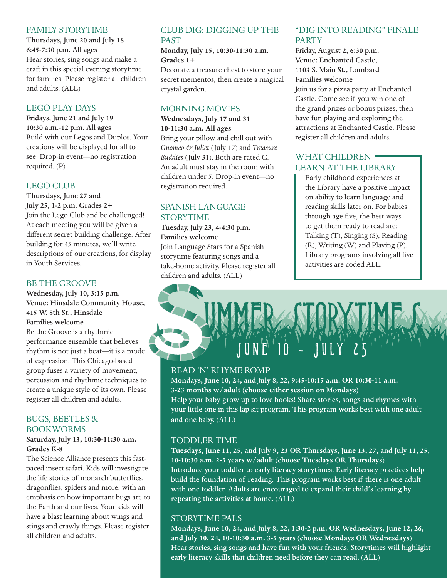#### Family Storytime

Thursdays, June 20 and July 18 6:45-7:30 p.m. All ages Hear stories, sing songs and make a craft in this special evening storytime for families. Please register all children and adults. (ALL)

#### Lego Play Days

Fridays, June 21 and July 19 10:30 a.m.-12 p.m. All ages Build with our Legos and Duplos. Your creations will be displayed for all to see. Drop-in event—no registration required. (P)

#### LEGO CLUB

Thursdays, June 27 and July 25, 1-2 p.m. Grades 2+ Join the Lego Club and be challenged! At each meeting you will be given a different secret building challenge. After building for 45 minutes, we'll write descriptions of our creations, for display in Youth Services.

#### Be the Groove

Wednesday, July 10, 3:15 p.m. Venue: Hinsdale Community House, 415 W. 8th St., Hinsdale Families welcome Be the Groove is a rhythmic performance ensemble that believes rhythm is not just a beat—it is a mode of expression. This Chicago-based group fuses a variety of movement, percussion and rhythmic techniques to

create a unique style of its own. Please register all children and adults.

#### Bugs, Beetles & Bookworms

#### **Saturday, July 13, 10:30-11:30 a.m. Grades K-8**

The Science Alliance presents this fastpaced insect safari. Kids will investigate the life stories of monarch butterflies, dragonflies, spiders and more, with an emphasis on how important bugs are to the Earth and our lives. Your kids will have a blast learning about wings and stings and crawly things. Please register all children and adults.

#### Club Dig: Digging up the **PAST**

**Monday, July 15, 10:30-11:30 a.m. Grades 1+**

Decorate a treasure chest to store your secret mementos, then create a magical crystal garden.

#### Morning Movies

**Wednesdays, July 17 and 31 10-11:30 a.m. All ages** Bring your pillow and chill out with *Gnomeo & Juliet* (July 17) and *Treasure Buddies* (July 31). Both are rated G. An adult must stay in the room with children under 5. Drop-in event—no registration required.

#### Spanish Language **STORYTIME**

Tuesday, July 23, 4-4:30 p.m. Families welcome Join Language Stars for a Spanish storytime featuring songs and a take-home activity. Please register all children and adults. (ALL)

#### "Dig into Reading" Finale **PARTY**

Friday, August 2, 6:30 p.m. Venue: Enchanted Castle, 1103 S. Main St., Lombard Families welcome Join us for a pizza party at Enchanted Castle. Come see if you win one of

the grand prizes or bonus prizes, then have fun playing and exploring the attractions at Enchanted Castle. Please register all children and adults.

#### WHAT CHILDREN Learn at the Library

Early childhood experiences at the Library have a positive impact on ability to learn language and reading skills later on. For babies through age five, the best ways to get them ready to read are: Talking (T), Singing (S), Reading (R), Writing (W) and Playing (P). Library programs involving all five activities are coded ALL.



#### Read 'n' Rhyme Romp

**Mondays, June 10, 24, and July 8, 22, 9:45-10:15 a.m. OR 10:30-11 a.m. 3-23 months w/adult (choose either session on Mondays)** Help your baby grow up to love books! Share stories, songs and rhymes with your little one in this lap sit program. This program works best with one adult and one baby. (ALL)

#### Toddler Time

**Tuesdays, June 11, 25, and July 9, 23 OR Thursdays, June 13, 27, and July 11, 25, 10-10:30 a.m. 2-3 years w/adult (choose Tuesdays OR Thursdays)** Introduce your toddler to early literacy storytimes. Early literacy practices help build the foundation of reading. This program works best if there is one adult with one toddler. Adults are encouraged to expand their child's learning by repeating the activities at home. (ALL)

#### Storytime Pals

**Mondays, June 10, 24, and July 8, 22, 1:30-2 p.m. OR Wednesdays, June 12, 26, and July 10, 24, 10-10:30 a.m. 3-5 years (choose Mondays OR Wednesdays)**  Hear stories, sing songs and have fun with your friends. Storytimes will highlight early literacy skills that children need before they can read. (ALL)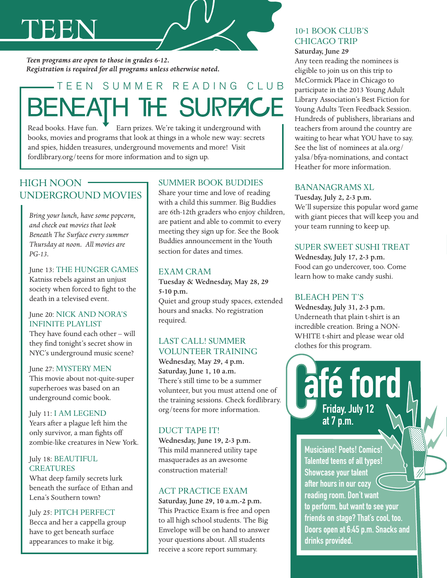# teen

*Teen programs are open to those in grades 6-12. Registration is required for all programs unless otherwise noted.*

### -TEEN SUMMER READING CLUB **BENEATH THE SURFACE**

Read books. Have fun. Farn prizes. We're taking it underground with books, movies and programs that look at things in a whole new way: secrets and spies, hidden treasures, underground movements and more! Visit fordlibrary.org/teens for more information and to sign up.

#### HIGH NOON UNDERGROUND MOVIEs

*Bring your lunch, have some popcorn, and check out movies that look Beneath The Surface every summer Thursday at noon. All movies are PG-13.*

June 13: The Hunger Games Katniss rebels against an unjust society when forced to fight to the death in a televised event.

#### June 20: Nick and Nora's Infinite Playlist

They have found each other – will they find tonight's secret show in NYC's underground music scene?

#### June 27: MYSTERY MEN

This movie about not-quite-super superheroes was based on an underground comic book.

#### July 11: I AM LEGEND

Years after a plague left him the only survivor, a man fights off zombie-like creatures in New York.

#### July 18: BEAUTIFUL **CREATURES**

What deep family secrets lurk beneath the surface of Ethan and Lena's Southern town?

#### July 25: PITCH PERFECT

Becca and her a cappella group have to get beneath surface appearances to make it big.

#### Summer Book Buddies

Share your time and love of reading with a child this summer. Big Buddies are 6th-12th graders who enjoy children, are patient and able to commit to every meeting they sign up for. See the Book Buddies announcement in the Youth section for dates and times.

#### Exam Cram

Tuesday & Wednesday, May 28, 29 5-10 p.m.

Quiet and group study spaces, extended hours and snacks. No registration required.

#### Last Call! Summer Volunteer Training

Wednesday, May 29, 4 p.m. Saturday, June 1, 10 a.m. There's still time to be a summer volunteer, but you must attend one of the training sessions. Check fordlibrary. org/teens for more information.

#### DUCT TAPE IT!

Wednesday, June 19, 2-3 p.m. This mild mannered utility tape masquerades as an awesome construction material!

#### ACT Practice Exam

Saturday, June 29, 10 a.m.-2 p.m. This Practice Exam is free and open to all high school students. The Big Envelope will be on hand to answer your questions about. All students receive a score report summary.

#### 10-1 BOOK CLUB'S Chicago Trip Saturday, June 29

Any teen reading the nominees is eligible to join us on this trip to McCormick Place in Chicago to participate in the 2013 Young Adult Library Association's Best Fiction for Young Adults Teen Feedback Session. Hundreds of publishers, librarians and teachers from around the country are waiting to hear what YOU have to say. See the list of nominees at ala.org/ yalsa/bfya-nominations, and contact Heather for more information.

#### Bananagrams XL

Tuesday, July 2, 2-3 p.m. We'll supersize this popular word game with giant pieces that will keep you and your team running to keep up.

#### Super Sweet Sushi Treat

Wednesday, July 17, 2-3 p.m. Food can go undercover, too. Come learn how to make candy sushi.

#### Bleach Pen T's

Wednesday, July 31, 2-3 p.m. Underneath that plain t-shirt is an incredible creation. Bring a NON-WHITE t-shirt and please wear old clothes for this program.

afé ford

Musicians! Poets! Comics! Talented teens of all types! Showcase your talent after hours in our cozy reading room. Don't want to perform, but want to see your friends on stage? That's cool, too. Doors open at 6:45 p.m. Snacks and Friday, July 12 at 7 p.m.  $\bigcup_{\alpha}$ 

drinks provided.